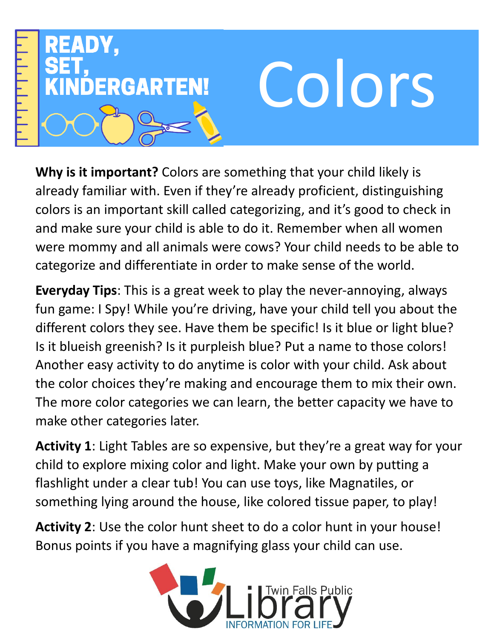

**Why is it important?** Colors are something that your child likely is already familiar with. Even if they're already proficient, distinguishing colors is an important skill called categorizing, and it's good to check in and make sure your child is able to do it. Remember when all women were mommy and all animals were cows? Your child needs to be able to categorize and differentiate in order to make sense of the world.

**Everyday Tips**: This is a great week to play the never-annoying, always fun game: I Spy! While you're driving, have your child tell you about the different colors they see. Have them be specific! Is it blue or light blue? Is it blueish greenish? Is it purpleish blue? Put a name to those colors! Another easy activity to do anytime is color with your child. Ask about the color choices they're making and encourage them to mix their own. The more color categories we can learn, the better capacity we have to make other categories later.

**Activity 1**: Light Tables are so expensive, but they're a great way for your child to explore mixing color and light. Make your own by putting a flashlight under a clear tub! You can use toys, like Magnatiles, or something lying around the house, like colored tissue paper, to play!

**Activity 2**: Use the color hunt sheet to do a color hunt in your house! Bonus points if you have a magnifying glass your child can use.